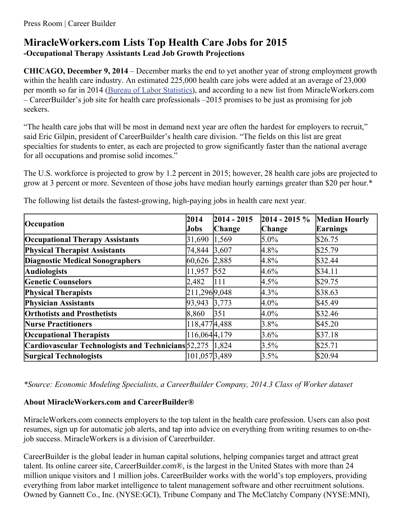# **MiracleWorkers.com Lists Top Health Care Jobs for 2015 -Occupational Therapy Assistants Lead Job Growth Projections**

**CHICAGO, December 9, 2014** – December marks the end to yet another year of strong employment growth within the health care industry. An estimated 225,000 health care jobs were added at an average of 23,000 per month so far in 2014 (Bureau of Labor [Statistics](http://www.bls.gov/webapps/legacy/cesbtab1.htm)), and according to a new list from MiracleWorkers.com – CareerBuilder's job site for health care professionals –2015 promises to be just as promising for job seekers.

"The health care jobs that will be most in demand next year are often the hardest for employers to recruit," said Eric Gilpin, president of CareerBuilder's health care division. "The fields on this list are great specialties for students to enter, as each are projected to grow significantly faster than the national average for all occupations and promise solid incomes."

The U.S. workforce is projected to grow by 1.2 percent in 2015; however, 28 health care jobs are projected to grow at 3 percent or more. Seventeen of those jobs have median hourly earnings greater than \$20 per hour.\*

| Occupation                                          | 2014               | 2014 - 2015       | $2014 - 2015 \%$ | <b>Median Hourly</b> |
|-----------------------------------------------------|--------------------|-------------------|------------------|----------------------|
|                                                     | Jobs               | Change            | Change           | Earnings             |
| <b>Occupational Therapy Assistants</b>              | 31,690             | 1,569             | $5.0\%$          | \$26.75              |
| <b>Physical Therapist Assistants</b>                | 74,844 3,607       |                   | 4.8%             | \$25.79              |
| <b>Diagnostic Medical Sonographers</b>              | 60,626 2,885       |                   | $4.8\%$          | \$32.44              |
| <b>Audiologists</b>                                 | 11,957 552         |                   | $4.6\%$          | \$34.11              |
| <b>Genetic Counselors</b>                           | 2,482              | 111               | 4.5%             | \$29.75              |
| <b>Physical Therapists</b>                          | 211,296 9,048      |                   | $4.3\%$          | \$38.63              |
| <b>Physician Assistants</b>                         | $ 93,943 \t 3,773$ |                   | $4.0\%$          | \$45.49              |
| <b>Orthotists and Prosthetists</b>                  | 8,860              | $\vert 351 \vert$ | $4.0\%$          | \$32.46              |
| <b>Nurse Practitioners</b>                          | 118,4774,488       |                   | 3.8%             | \$45.20              |
| <b>Occupational Therapists</b>                      | 116,0644,179       |                   | $3.6\%$          | \$37.18              |
| Cardiovascular Technologists and Technicians 52,275 |                    | 1,824             | 3.5%             | \$25.71              |
| <b>Surgical Technologists</b>                       | 101,0573,489       |                   | 3.5%             | \$20.94              |

The following list details the fastest-growing, high-paying jobs in health care next year.

*\*Source: Economic Modeling Specialists, a CareerBuilder Company, 2014.3 Class of Worker dataset*

## **About MiracleWorkers.com and CareerBuilder®**

MiracleWorkers.com connects employers to the top talent in the health care profession. Users can also post resumes, sign up for automatic job alerts, and tap into advice on everything from writing resumes to on-thejob success. MiracleWorkers is a division of Careerbuilder.

CareerBuilder is the global leader in human capital solutions, helping companies target and attract great talent. Its online career site, CareerBuilder.com®, is the largest in the United States with more than 24 million unique visitors and 1 million jobs. CareerBuilder works with the world's top employers, providing everything from labor market intelligence to talent management software and other recruitment solutions. Owned by Gannett Co., Inc. (NYSE:GCI), Tribune Company and The McClatchy Company (NYSE:MNI),